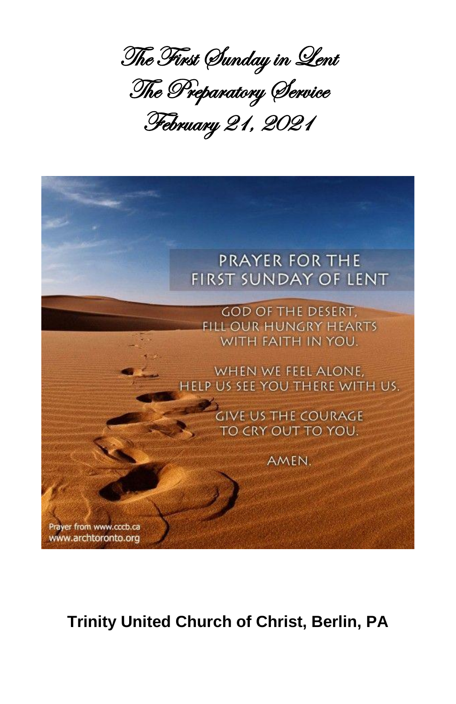The First Sunday in Lent The Preparatory Service February 21, 2021



**Trinity United Church of Christ, Berlin, PA**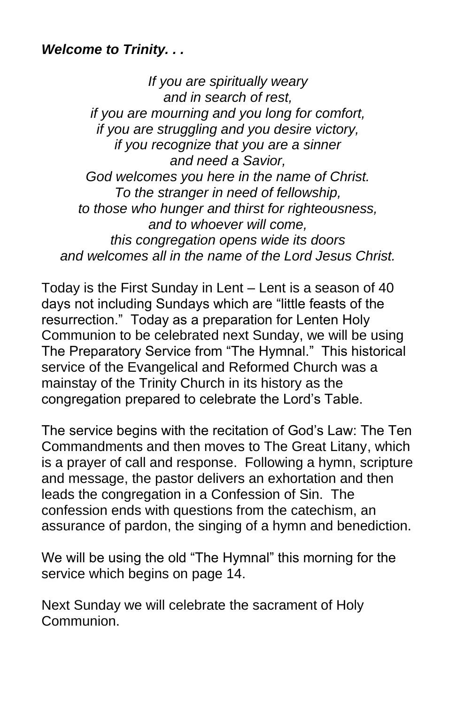## *Welcome to Trinity. . .*

*If you are spiritually weary and in search of rest, if you are mourning and you long for comfort, if you are struggling and you desire victory, if you recognize that you are a sinner and need a Savior, God welcomes you here in the name of Christ. To the stranger in need of fellowship, to those who hunger and thirst for righteousness, and to whoever will come, this congregation opens wide its doors and welcomes all in the name of the Lord Jesus Christ.*

Today is the First Sunday in Lent – Lent is a season of 40 days not including Sundays which are "little feasts of the resurrection." Today as a preparation for Lenten Holy Communion to be celebrated next Sunday, we will be using The Preparatory Service from "The Hymnal." This historical service of the Evangelical and Reformed Church was a mainstay of the Trinity Church in its history as the congregation prepared to celebrate the Lord's Table.

The service begins with the recitation of God's Law: The Ten Commandments and then moves to The Great Litany, which is a prayer of call and response. Following a hymn, scripture and message, the pastor delivers an exhortation and then leads the congregation in a Confession of Sin. The confession ends with questions from the catechism, an assurance of pardon, the singing of a hymn and benediction.

We will be using the old "The Hymnal" this morning for the service which begins on page 14.

Next Sunday we will celebrate the sacrament of Holy Communion.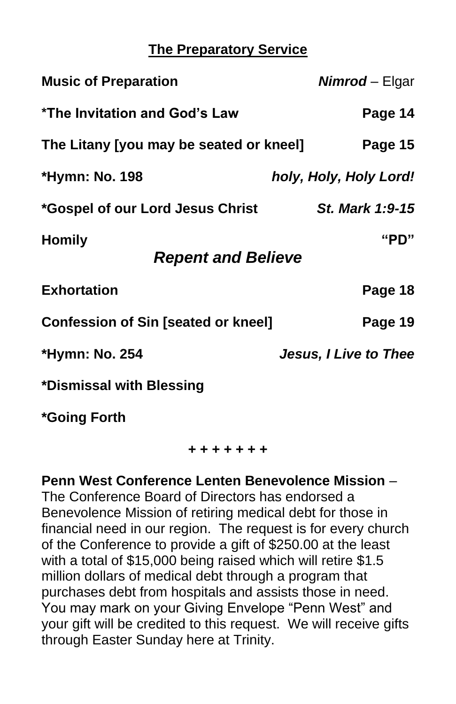## **The Preparatory Service**

| <b>Music of Preparation</b>                        | Nimrod - Elgar         |  |  |  |
|----------------------------------------------------|------------------------|--|--|--|
| <b>*The Invitation and God's Law</b>               | Page 14                |  |  |  |
| The Litany [you may be seated or kneel]            | Page 15                |  |  |  |
| *Hymn: No. 198                                     | holy, Holy, Holy Lord! |  |  |  |
| <i>*Gospel of our Lord Jesus Christ</i>            | St. Mark 1:9-15        |  |  |  |
| "PD"<br><b>Homily</b><br><b>Repent and Believe</b> |                        |  |  |  |
| <b>Exhortation</b>                                 | Page 18                |  |  |  |
| <b>Confession of Sin [seated or kneel]</b>         | Page 19                |  |  |  |
| *Hymn: No. 254                                     | Jesus, I Live to Thee  |  |  |  |
| *Dismissal with Blessing                           |                        |  |  |  |
| *Going Forth                                       |                        |  |  |  |

#### **+ + + + + + +**

## **Penn West Conference Lenten Benevolence Mission** – The Conference Board of Directors has endorsed a Benevolence Mission of retiring medical debt for those in financial need in our region. The request is for every church of the Conference to provide a gift of \$250.00 at the least with a total of \$15,000 being raised which will retire \$1.5 million dollars of medical debt through a program that purchases debt from hospitals and assists those in need. You may mark on your Giving Envelope "Penn West" and your gift will be credited to this request. We will receive gifts through Easter Sunday here at Trinity.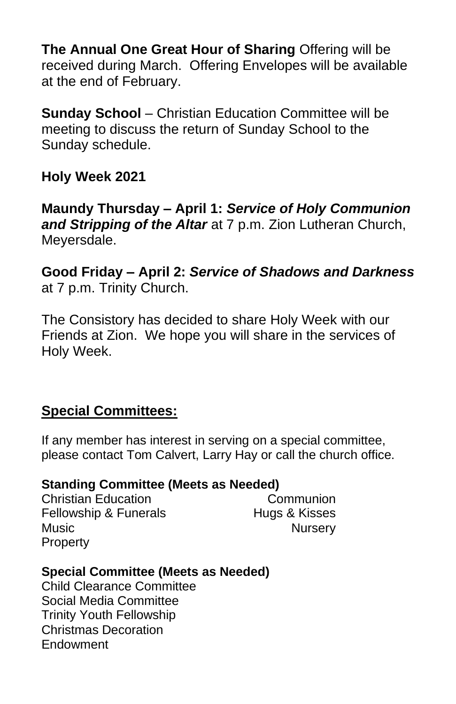**The Annual One Great Hour of Sharing** Offering will be received during March. Offering Envelopes will be available at the end of February.

**Sunday School** – Christian Education Committee will be meeting to discuss the return of Sunday School to the Sunday schedule.

## **Holy Week 2021**

**Maundy Thursday – April 1:** *Service of Holy Communion and Stripping of the Altar* at 7 p.m. Zion Lutheran Church, Meyersdale.

**Good Friday – April 2:** *Service of Shadows and Darkness* at 7 p.m. Trinity Church.

The Consistory has decided to share Holy Week with our Friends at Zion. We hope you will share in the services of Holy Week.

## **Special Committees:**

If any member has interest in serving on a special committee, please contact Tom Calvert, Larry Hay or call the church office.

#### **Standing Committee (Meets as Needed)**

Christian Education Communion Fellowship & Funerals **Hugs & Kisses** Music **Music Music Music Music Music Music Music Music Music Music Property** 

### **Special Committee (Meets as Needed)**

Child Clearance Committee Social Media Committee Trinity Youth Fellowship Christmas Decoration Endowment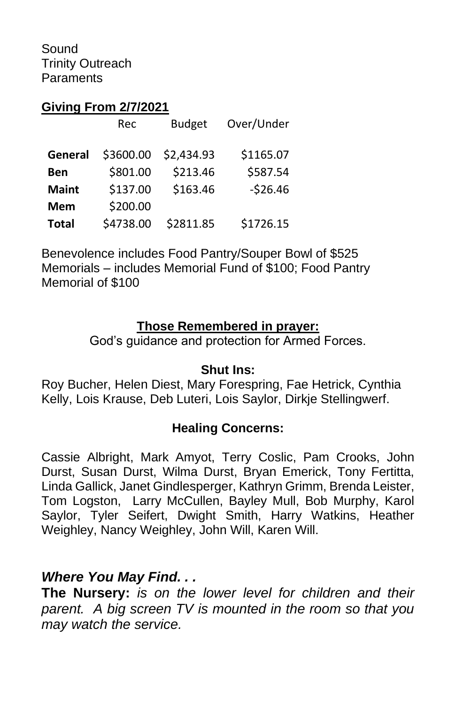Sound Trinity Outreach **Paraments** 

#### **Giving From 2/7/2021**

|              | Rec       | <b>Budget</b> | Over/Under |
|--------------|-----------|---------------|------------|
| General      | \$3600.00 | \$2,434.93    | \$1165.07  |
| Ben          | \$801.00  | \$213.46      | \$587.54   |
| <b>Maint</b> | \$137.00  | \$163.46      | $-526.46$  |
| Mem          | \$200.00  |               |            |
| <b>Total</b> | \$4738.00 | \$2811.85     | \$1726.15  |

Benevolence includes Food Pantry/Souper Bowl of \$525 Memorials – includes Memorial Fund of \$100; Food Pantry Memorial of \$100

#### **Those Remembered in prayer:**

God's guidance and protection for Armed Forces.

#### **Shut Ins:**

Roy Bucher, Helen Diest, Mary Forespring, Fae Hetrick, Cynthia Kelly, Lois Krause, Deb Luteri, Lois Saylor, Dirkje Stellingwerf.

#### **Healing Concerns:**

Cassie Albright, Mark Amyot, Terry Coslic, Pam Crooks, John Durst, Susan Durst, Wilma Durst, Bryan Emerick, Tony Fertitta, Linda Gallick, Janet Gindlesperger, Kathryn Grimm, Brenda Leister, Tom Logston, Larry McCullen, Bayley Mull, Bob Murphy, Karol Saylor, Tyler Seifert, Dwight Smith, Harry Watkins, Heather Weighley, Nancy Weighley, John Will, Karen Will.

### *Where You May Find. . .*

**The Nursery:** *is on the lower level for children and their parent. A big screen TV is mounted in the room so that you may watch the service.*